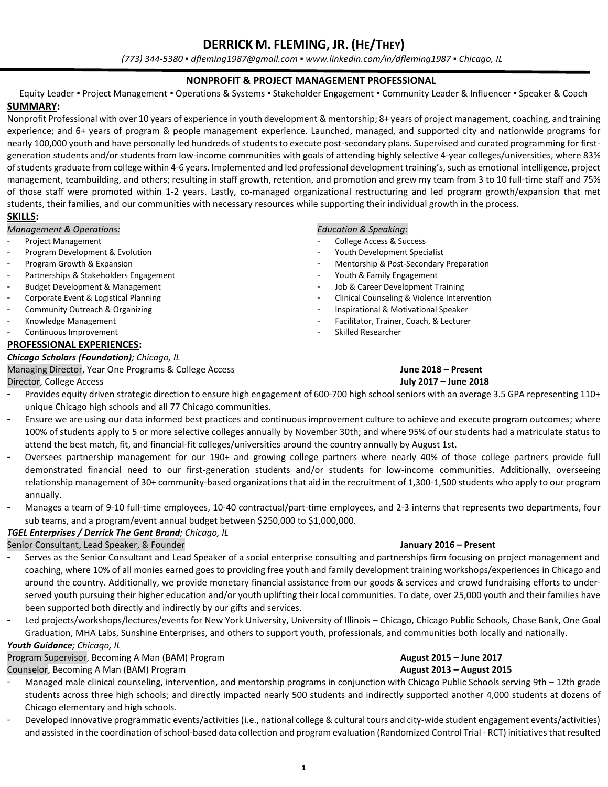*(773) 344-5380 ▪ dfleming1987@gmail.com ▪ www.linkedin.com/in/dfleming1987 ▪ Chicago, IL*

#### **NONPROFIT & PROJECT MANAGEMENT PROFESSIONAL**

Equity Leader ▪ Project Management ▪ Operations & Systems ▪ Stakeholder Engagement ▪ Community Leader & Influencer ▪ Speaker & Coach **SUMMARY:**

Nonprofit Professional with over 10 years of experience in youth development & mentorship; 8+ years of project management, coaching, and training experience; and 6+ years of program & people management experience. Launched, managed, and supported city and nationwide programs for nearly 100,000 youth and have personally led hundreds of students to execute post-secondary plans. Supervised and curated programming for firstgeneration students and/or students from low-income communities with goals of attending highly selective 4-year colleges/universities, where 83% of students graduate from college within 4-6 years. Implemented and led professional development training's, such as emotional intelligence, project management, teambuilding, and others; resulting in staff growth, retention, and promotion and grew my team from 3 to 10 full-time staff and 75% of those staff were promoted within 1-2 years. Lastly, co-managed organizational restructuring and led program growth/expansion that met students, their families, and our communities with necessary resources while supporting their individual growth in the process.

#### **SKILLS:**

*Management & Operations:*

- Project Management
- Program Development & Evolution
- Program Growth & Expansion
- Partnerships & Stakeholders Engagement
- Budget Development & Management
- Corporate Event & Logistical Planning
- Community Outreach & Organizing
- Knowledge Management
- Continuous Improvement

#### **PROFESSIONAL EXPERIENCES:**

### *Chicago Scholars (Foundation); Chicago, IL*

Managing Director, Year One Programs & College Access **June 2018 – Present**

### *Education & Speaking:*

- College Access & Success
- Youth Development Specialist
- Mentorship & Post-Secondary Preparation
- Youth & Family Engagement
- Job & Career Development Training
- Clinical Counseling & Violence Intervention
- Inspirational & Motivational Speaker
- Facilitator, Trainer, Coach, & Lecturer
- Skilled Researcher

# Director, College Access **July 2017 – June 2018**

- Provides equity driven strategic direction to ensure high engagement of 600-700 high school seniors with an average 3.5 GPA representing 110+ unique Chicago high schools and all 77 Chicago communities.
- Ensure we are using our data informed best practices and continuous improvement culture to achieve and execute program outcomes; where 100% of students apply to 5 or more selective colleges annually by November 30th; and where 95% of our students had a matriculate status to attend the best match, fit, and financial-fit colleges/universities around the country annually by August 1st.
- Oversees partnership management for our 190+ and growing college partners where nearly 40% of those college partners provide full demonstrated financial need to our first-generation students and/or students for low-income communities. Additionally, overseeing relationship management of 30+ community-based organizations that aid in the recruitment of 1,300-1,500 students who apply to our program annually.
- Manages a team of 9-10 full-time employees, 10-40 contractual/part-time employees, and 2-3 interns that represents two departments, four sub teams, and a program/event annual budget between \$250,000 to \$1,000,000.

#### *TGEL Enterprises / Derrick The Gent Brand; Chicago, IL*

#### Senior Consultant, Lead Speaker, & Founder **January 2016 – Present**

- Serves as the Senior Consultant and Lead Speaker of a social enterprise consulting and partnerships firm focusing on project management and coaching, where 10% of all monies earned goes to providing free youth and family development training workshops/experiences in Chicago and around the country. Additionally, we provide monetary financial assistance from our goods & services and crowd fundraising efforts to underserved youth pursuing their higher education and/or youth uplifting their local communities. To date, over 25,000 youth and their families have been supported both directly and indirectly by our gifts and services.
- Led projects/workshops/lectures/events for New York University, University of Illinois Chicago, Chicago Public Schools, Chase Bank, One Goal Graduation, MHA Labs, Sunshine Enterprises, and others to support youth, professionals, and communities both locally and nationally.

### *Youth Guidance; Chicago, IL*

#### Program Supervisor, Becoming A Man (BAM) Program **August 2015 – June 2017**

Counselor, Becoming A Man (BAM) Program **August 2013 – August 2015**

- Managed male clinical counseling, intervention, and mentorship programs in conjunction with Chicago Public Schools serving 9th 12th grade students across three high schools; and directly impacted nearly 500 students and indirectly supported another 4,000 students at dozens of Chicago elementary and high schools.
- Developed innovative programmatic events/activities (i.e., national college & cultural tours and city-wide student engagement events/activities) and assisted in the coordination of school-based data collection and program evaluation (Randomized Control Trial - RCT) initiativesthat resulted